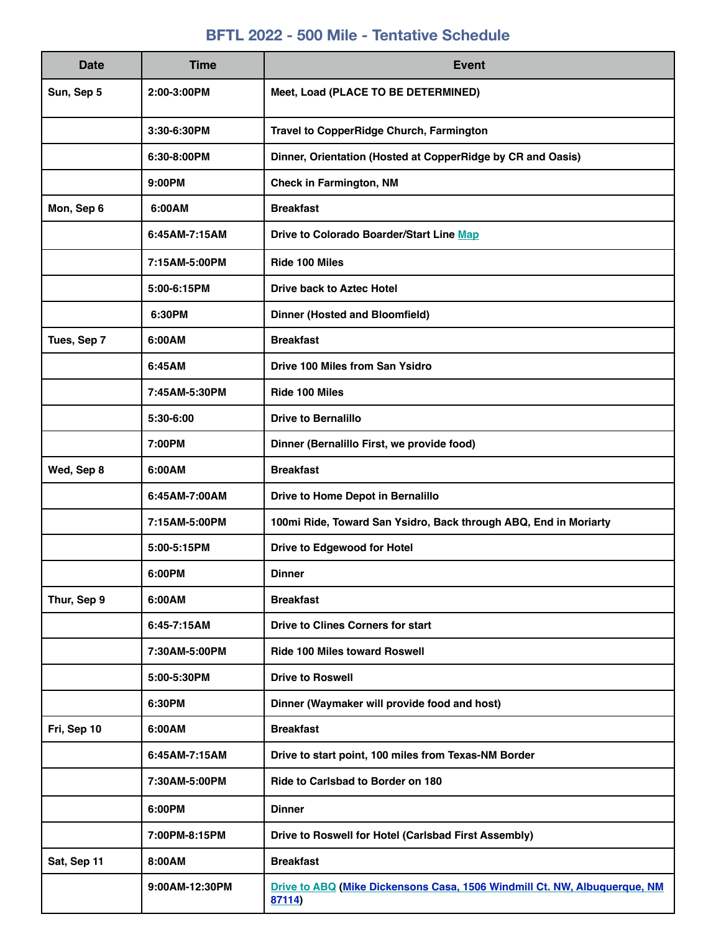# **BFTL 2022 - 500 Mile - Tentative Schedule**

| <b>Date</b> | <b>Time</b>    | <b>Event</b>                                                                        |
|-------------|----------------|-------------------------------------------------------------------------------------|
| Sun, Sep 5  | 2:00-3:00PM    | Meet, Load (PLACE TO BE DETERMINED)                                                 |
|             | 3:30-6:30PM    | Travel to CopperRidge Church, Farmington                                            |
|             | 6:30-8:00PM    | Dinner, Orientation (Hosted at CopperRidge by CR and Oasis)                         |
|             | 9:00PM         | <b>Check in Farmington, NM</b>                                                      |
| Mon, Sep 6  | 6:00AM         | <b>Breakfast</b>                                                                    |
|             | 6:45AM-7:15AM  | Drive to Colorado Boarder/Start Line Map                                            |
|             | 7:15AM-5:00PM  | Ride 100 Miles                                                                      |
|             | 5:00-6:15PM    | <b>Drive back to Aztec Hotel</b>                                                    |
|             | 6:30PM         | <b>Dinner (Hosted and Bloomfield)</b>                                               |
| Tues, Sep 7 | 6:00AM         | <b>Breakfast</b>                                                                    |
|             | 6:45AM         | <b>Drive 100 Miles from San Ysidro</b>                                              |
|             | 7:45AM-5:30PM  | Ride 100 Miles                                                                      |
|             | 5:30-6:00      | <b>Drive to Bernalillo</b>                                                          |
|             | 7:00PM         | Dinner (Bernalillo First, we provide food)                                          |
| Wed, Sep 8  | 6:00AM         | <b>Breakfast</b>                                                                    |
|             | 6:45AM-7:00AM  | Drive to Home Depot in Bernalillo                                                   |
|             | 7:15AM-5:00PM  | 100mi Ride, Toward San Ysidro, Back through ABQ, End in Moriarty                    |
|             | 5:00-5:15PM    | Drive to Edgewood for Hotel                                                         |
|             | 6:00PM         | <b>Dinner</b>                                                                       |
| Thur, Sep 9 | 6:00AM         | <b>Breakfast</b>                                                                    |
|             | 6:45-7:15AM    | <b>Drive to Clines Corners for start</b>                                            |
|             | 7:30AM-5:00PM  | <b>Ride 100 Miles toward Roswell</b>                                                |
|             | 5:00-5:30PM    | <b>Drive to Roswell</b>                                                             |
|             | 6:30PM         | Dinner (Waymaker will provide food and host)                                        |
| Fri, Sep 10 | 6:00AM         | <b>Breakfast</b>                                                                    |
|             | 6:45AM-7:15AM  | Drive to start point, 100 miles from Texas-NM Border                                |
|             | 7:30AM-5:00PM  | Ride to Carlsbad to Border on 180                                                   |
|             | 6:00PM         | <b>Dinner</b>                                                                       |
|             | 7:00PM-8:15PM  | Drive to Roswell for Hotel (Carlsbad First Assembly)                                |
| Sat, Sep 11 | 8:00AM         | <b>Breakfast</b>                                                                    |
|             | 9:00AM-12:30PM | Drive to ABQ (Mike Dickensons Casa, 1506 Windmill Ct. NW, Albuquerque, NM<br>87114) |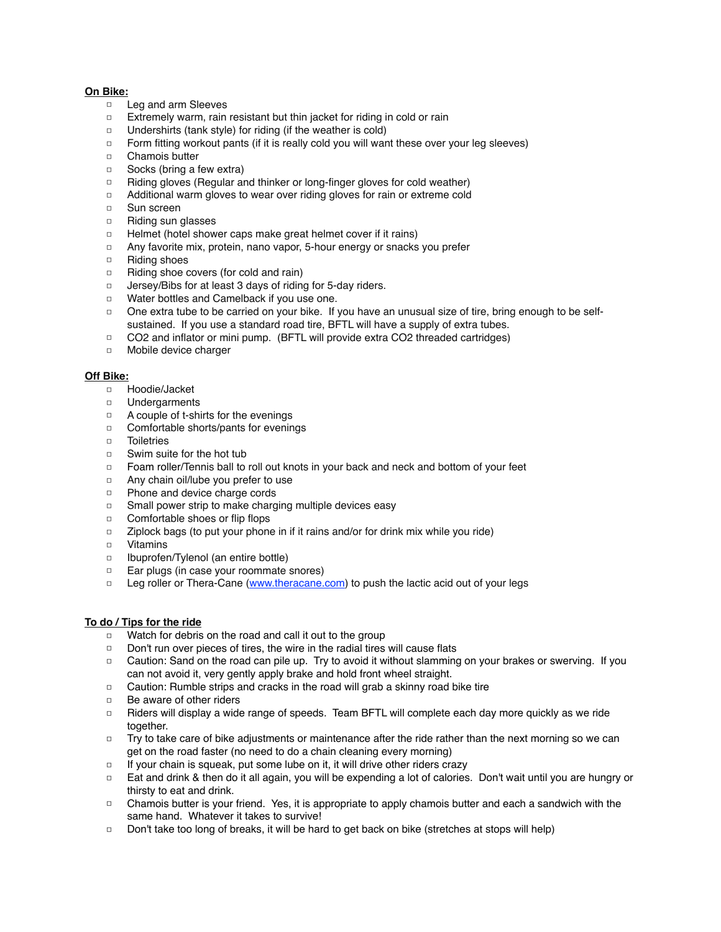#### **On Bike:**

- □ Leg and arm Sleeves
- □ Extremely warm, rain resistant but thin jacket for riding in cold or rain
- □ Undershirts (tank style) for riding (if the weather is cold)
- □ Form fitting workout pants (if it is really cold you will want these over your leg sleeves)
- □ Chamois butter
- □ Socks (bring a few extra)
- □ Riding gloves (Regular and thinker or long-finger gloves for cold weather)
- □ Additional warm gloves to wear over riding gloves for rain or extreme cold
- □ Sun screen
- □ Riding sun glasses
- □ Helmet (hotel shower caps make great helmet cover if it rains)
- □ Any favorite mix, protein, nano vapor, 5-hour energy or snacks you prefer
- □ Riding shoes
- □ Riding shoe covers (for cold and rain)
- □ Jersey/Bibs for at least 3 days of riding for 5-day riders.
- □ Water bottles and Camelback if you use one.
- □ One extra tube to be carried on your bike. If you have an unusual size of tire, bring enough to be selfsustained. If you use a standard road tire, BFTL will have a supply of extra tubes.
- □ CO2 and inflator or mini pump. (BFTL will provide extra CO2 threaded cartridges)
- □ Mobile device charger

#### **Off Bike:**

- □ Hoodie/Jacket
- □ Undergarments
- □ A couple of t-shirts for the evenings
- □ Comfortable shorts/pants for evenings
- □ Toiletries
- □ Swim suite for the hot tub
- □ Foam roller/Tennis ball to roll out knots in your back and neck and bottom of your feet
- □ Any chain oil/lube you prefer to use
- □ Phone and device charge cords
- □ Small power strip to make charging multiple devices easy
- □ Comfortable shoes or flip flops
- □ Ziplock bags (to put your phone in if it rains and/or for drink mix while you ride)
- □ Vitamins
- □ Ibuprofen/Tylenol (an entire bottle)
- □ Ear plugs (in case your roommate snores)
- □ Leg roller or Thera-Cane ([www.theracane.com\)](http://www.theracane.com/) to push the lactic acid out of your legs

### **To do / Tips for the ride**

- □ Watch for debris on the road and call it out to the group
- □ Don't run over pieces of tires, the wire in the radial tires will cause flats
- □ Caution: Sand on the road can pile up. Try to avoid it without slamming on your brakes or swerving. If you can not avoid it, very gently apply brake and hold front wheel straight.
- □ Caution: Rumble strips and cracks in the road will grab a skinny road bike tire
- □ Be aware of other riders
- □ Riders will display a wide range of speeds. Team BFTL will complete each day more quickly as we ride together.
- □ Try to take care of bike adjustments or maintenance after the ride rather than the next morning so we can get on the road faster (no need to do a chain cleaning every morning)
- □ If your chain is squeak, put some lube on it, it will drive other riders crazy
- □ Eat and drink & then do it all again, you will be expending a lot of calories. Don't wait until you are hungry or thirsty to eat and drink.
- □ Chamois butter is your friend. Yes, it is appropriate to apply chamois butter and each a sandwich with the same hand. Whatever it takes to survive!
- □ Don't take too long of breaks, it will be hard to get back on bike (stretches at stops will help)